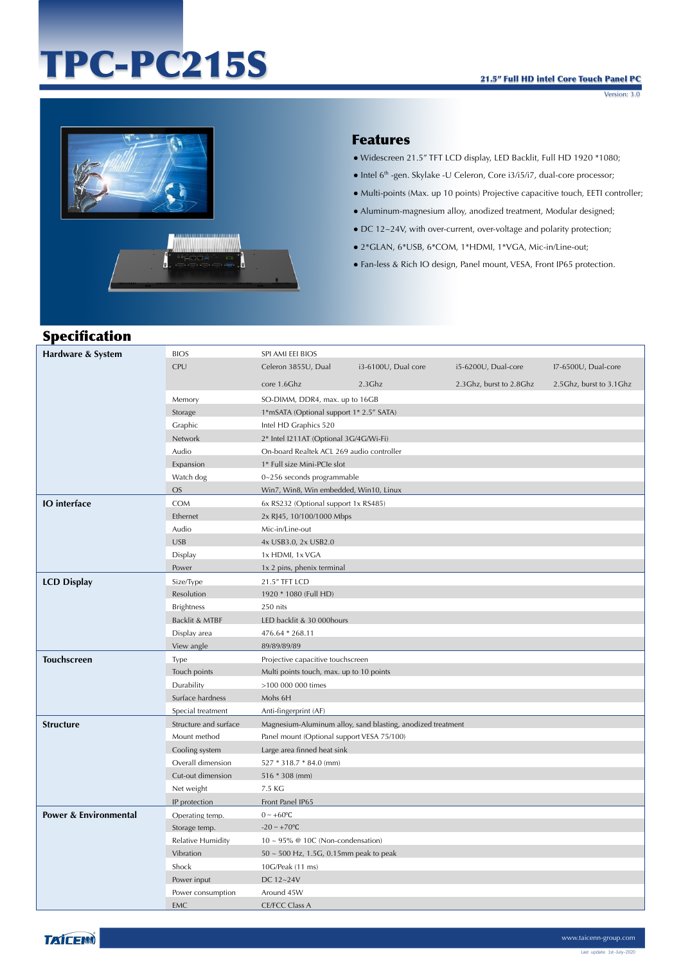# TPC-PC215S

Version: 3.0



## Features

- Widescreen 21.5" TFT LCD display, LED Backlit, Full HD 1920 \*1080;
- Intel 6th -gen. Skylake -U Celeron, Core i3/i5/i7, dual-core processor;
- Multi-points (Max. up 10 points) Projective capacitive touch, EETI controller;
- Aluminum-magnesium alloy, anodized treatment, Modular designed;
- DC 12~24V, with over-current, over-voltage and polarity protection;
- 2\*GLAN, 6\*USB, 6\*COM, 1\*HDMI, 1\*VGA, Mic-in/Line-out;
- Fan-less & Rich IO design, Panel mount, VESA, Front IP65 protection.

# Specification

| Hardware & System     | <b>BIOS</b>           | SPI AMI EEI BIOS                           |                                                             |                         |                         |
|-----------------------|-----------------------|--------------------------------------------|-------------------------------------------------------------|-------------------------|-------------------------|
|                       | CPU                   | Celeron 3855U, Dual                        | i3-6100U, Dual core                                         | i5-6200U, Dual-core     | I7-6500U, Dual-core     |
|                       |                       | core 1.6Ghz                                | $2.3$ Ghz                                                   | 2.3Ghz, burst to 2.8Ghz | 2.5Ghz, burst to 3.1Ghz |
|                       | Memory                | SO-DIMM, DDR4, max. up to 16GB             |                                                             |                         |                         |
|                       | Storage               | 1*mSATA (Optional support 1* 2.5" SATA)    |                                                             |                         |                         |
|                       | Graphic               | Intel HD Graphics 520                      |                                                             |                         |                         |
|                       | Network               | 2* Intel I211AT (Optional 3G/4G/Wi-Fi)     |                                                             |                         |                         |
|                       | Audio                 | On-board Realtek ACL 269 audio controller  |                                                             |                         |                         |
|                       | Expansion             | 1* Full size Mini-PCIe slot                |                                                             |                         |                         |
|                       | Watch dog             | 0~256 seconds programmable                 |                                                             |                         |                         |
|                       | OS                    | Win7, Win8, Win embedded, Win10, Linux     |                                                             |                         |                         |
| <b>IO</b> interface   | <b>COM</b>            | 6x RS232 (Optional support 1x RS485)       |                                                             |                         |                         |
|                       | Ethernet              | 2x RJ45, 10/100/1000 Mbps                  |                                                             |                         |                         |
|                       | Audio                 | Mic-in/Line-out                            |                                                             |                         |                         |
|                       | <b>USB</b>            | 4x USB3.0, 2x USB2.0                       |                                                             |                         |                         |
|                       | Display               | 1x HDMI, 1x VGA                            |                                                             |                         |                         |
|                       | Power                 | 1x 2 pins, phenix terminal                 |                                                             |                         |                         |
| <b>LCD Display</b>    | Size/Type             | 21.5" TFT LCD                              |                                                             |                         |                         |
|                       | Resolution            | 1920 * 1080 (Full HD)                      |                                                             |                         |                         |
|                       | <b>Brightness</b>     | 250 nits                                   |                                                             |                         |                         |
|                       | Backlit & MTBF        | LED backlit & 30 000hours                  |                                                             |                         |                         |
|                       | Display area          | 476.64 * 268.11                            |                                                             |                         |                         |
|                       | View angle            | 89/89/89/89                                |                                                             |                         |                         |
| <b>Touchscreen</b>    | Type                  | Projective capacitive touchscreen          |                                                             |                         |                         |
|                       | Touch points          | Multi points touch, max. up to 10 points   |                                                             |                         |                         |
|                       | Durability            | >100 000 000 times                         |                                                             |                         |                         |
|                       | Surface hardness      | Mohs 6H                                    |                                                             |                         |                         |
|                       | Special treatment     | Anti-fingerprint (AF)                      |                                                             |                         |                         |
| <b>Structure</b>      | Structure and surface |                                            | Magnesium-Aluminum alloy, sand blasting, anodized treatment |                         |                         |
|                       | Mount method          | Panel mount (Optional support VESA 75/100) |                                                             |                         |                         |
|                       | Cooling system        | Large area finned heat sink                |                                                             |                         |                         |
|                       | Overall dimension     | 527 * 318.7 * 84.0 (mm)                    |                                                             |                         |                         |
|                       | Cut-out dimension     | 516 * 308 (mm)                             |                                                             |                         |                         |
|                       | Net weight            | 7.5 KG                                     |                                                             |                         |                         |
|                       | IP protection         | Front Panel IP65                           |                                                             |                         |                         |
| Power & Environmental | Operating temp.       | $0 \sim +60$ °C                            |                                                             |                         |                         |
|                       | Storage temp.         | $-20 \sim +70$ °C                          |                                                             |                         |                         |
|                       | Relative Humidity     | $10 \sim 95\%$ @ 10C (Non-condensation)    |                                                             |                         |                         |
|                       | Vibration             | 50 ~ 500 Hz, 1.5G, 0.15mm peak to peak     |                                                             |                         |                         |
|                       | Shock                 | 10G/Peak (11 ms)                           |                                                             |                         |                         |
|                       | Power input           | DC 12~24V                                  |                                                             |                         |                         |
|                       | Power consumption     | Around 45W                                 |                                                             |                         |                         |
|                       | <b>EMC</b>            | <b>CE/FCC Class A</b>                      |                                                             |                         |                         |